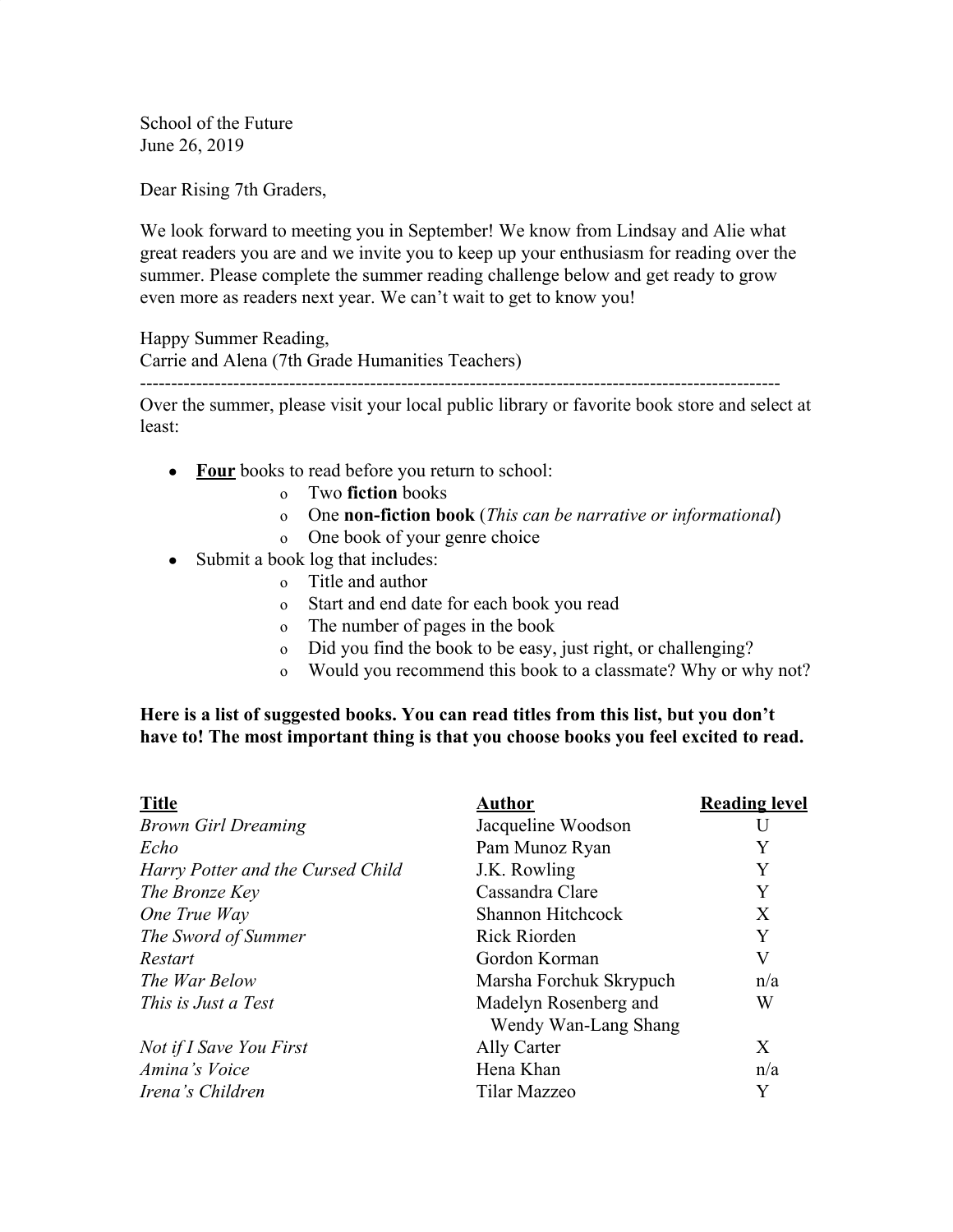School of the Future June 26, 2019

Dear Rising 7th Graders,

We look forward to meeting you in September! We know from Lindsay and Alie what great readers you are and we invite you to keep up your enthusiasm for reading over the summer. Please complete the summer reading challenge below and get ready to grow even more as readers next year. We can't wait to get to know you!

Happy Summer Reading,

Carrie and Alena (7th Grade Humanities Teachers)

Over the summer, please visit your local public library or favorite book store and select at least:

-------------------------------------------------------------------------------------------------------

- **● Four** books to read before you return to school:
	- o Two **fiction** books
	- o One **non-fiction book** (*This can be narrative or informational*)
	- o One book of your genre choice
- Submit a book log that includes:
	- o Title and author
	- o Start and end date for each book you read
	- o The number of pages in the book
	- o Did you find the book to be easy, just right, or challenging?
	- o Would you recommend this book to a classmate? Why or why not?

## **Here is a list of suggested books. You can read titles from this list, but you don't have to! The most important thing is that you choose books you feel excited to read.**

| <b>Title</b>                      | Author                                        | <b>Reading level</b> |
|-----------------------------------|-----------------------------------------------|----------------------|
| <b>Brown Girl Dreaming</b>        | Jacqueline Woodson                            |                      |
| Echo                              | Pam Munoz Ryan                                | Y                    |
| Harry Potter and the Cursed Child | J.K. Rowling                                  | Y                    |
| The Bronze Key                    | Cassandra Clare                               | Y                    |
| One True Way                      | Shannon Hitchcock                             | X                    |
| The Sword of Summer               | Rick Riorden                                  | Y                    |
| Restart                           | Gordon Korman                                 | V                    |
| The War Below                     | Marsha Forchuk Skrypuch                       | n/a                  |
| This is Just a Test               | Madelyn Rosenberg and<br>Wendy Wan-Lang Shang | W                    |
| Not if I Save You First           | Ally Carter                                   | X                    |
| Amina's Voice                     | Hena Khan                                     | n/a                  |
| Irena's Children                  | Tilar Mazzeo                                  | Y                    |